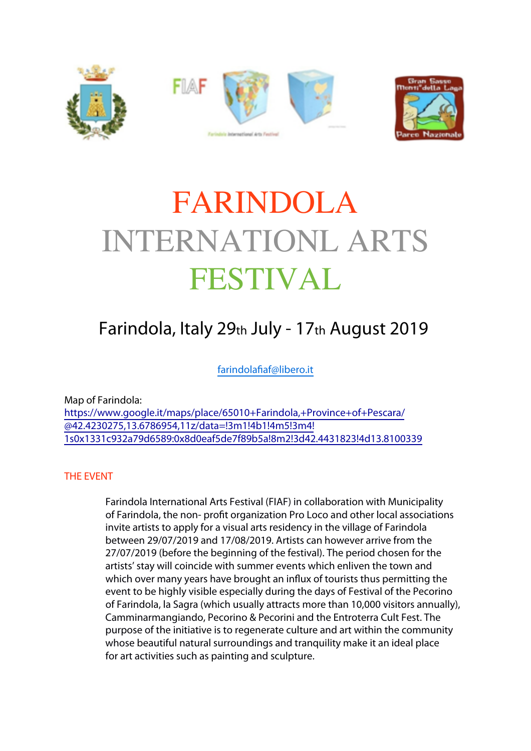





# FARINDOLA INTERNATIONL ARTS FESTIVAL

# Farindola, Italy 29th July - 17th August 2019

[farindolafiaf@libero.it](mailto:farindolafiaf@libero.it)

Map of Farindola: [https://www.google.it/maps/place/65010+Farindola,+Province+of+Pescara/](https://www.google.it/maps/place/65010+Farindola,+Province+of+Pescara/@42.4230275,13.6786954,11z/data=!3m1!4b1!4m5!3m4!1s0x1331c932a79d6589:0x8d0eaf5de7f89b5a!8m2!3d42.4431823!4d13.8100339) [@42.4230275,13.6786954,11z/data=!3m1!4b1!4m5!3m4!](https://www.google.it/maps/place/65010+Farindola,+Province+of+Pescara/@42.4230275,13.6786954,11z/data=!3m1!4b1!4m5!3m4!1s0x1331c932a79d6589:0x8d0eaf5de7f89b5a!8m2!3d42.4431823!4d13.8100339) [1s0x1331c932a79d6589:0x8d0eaf5de7f89b5a!8m2!3d42.4431823!4d13.8100339](https://www.google.it/maps/place/65010+Farindola,+Province+of+Pescara/@42.4230275,13.6786954,11z/data=!3m1!4b1!4m5!3m4!1s0x1331c932a79d6589:0x8d0eaf5de7f89b5a!8m2!3d42.4431823!4d13.8100339)

# THE EVENT

 Farindola International Arts Festival (FIAF) in collaboration with Municipality of Farindola, the non- profit organization Pro Loco and other local associations invite artists to apply for a visual arts residency in the village of Farindola between 29/07/2019 and 17/08/2019. Artists can however arrive from the 27/07/2019 (before the beginning of the festival). The period chosen for the artists' stay will coincide with summer events which enliven the town and which over many years have brought an influx of tourists thus permitting the event to be highly visible especially during the days of Festival of the Pecorino of Farindola, la Sagra (which usually attracts more than 10,000 visitors annually), Camminarmangiando, Pecorino & Pecorini and the Entroterra Cult Fest. The purpose of the initiative is to regenerate culture and art within the community whose beautiful natural surroundings and tranquility make it an ideal place for art activities such as painting and sculpture.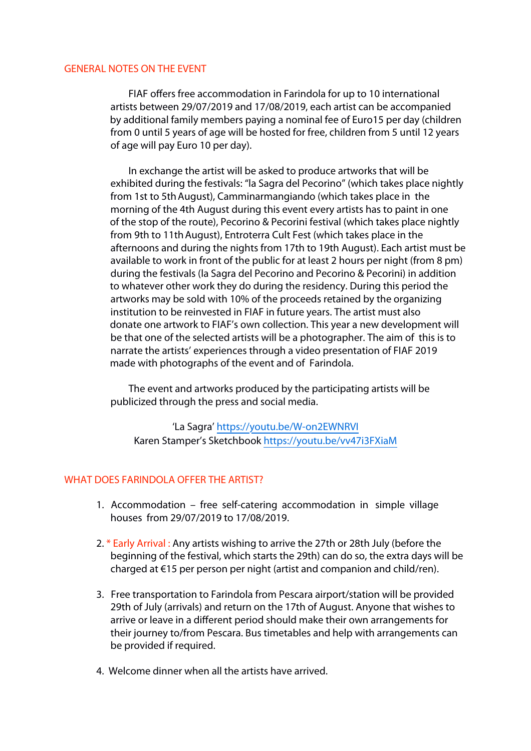#### GENERAL NOTES ON THE EVENT

FIAF offers free accommodation in Farindola for up to 10 international artists between 29/07/2019 and 17/08/2019, each artist can be accompanied by additional family members paying a nominal fee of Euro15 per day (children from 0 until 5 years of age will be hosted for free, children from 5 until 12 years of age will pay Euro 10 per day).

In exchange the artist will be asked to produce artworks that will be exhibited during the festivals: "la Sagra del Pecorino" (which takes place nightly from 1st to 5th August), Camminarmangiando (which takes place in the morning of the 4th August during this event every artists has to paint in one of the stop of the route), Pecorino & Pecorini festival (which takes place nightly from 9th to 11th August), Entroterra Cult Fest (which takes place in the afternoons and during the nights from 17th to 19th August). Each artist must be available to work in front of the public for at least 2 hours per night (from 8 pm) during the festivals (la Sagra del Pecorino and Pecorino & Pecorini) in addition to whatever other work they do during the residency. During this period the artworks may be sold with 10% of the proceeds retained by the organizing institution to be reinvested in FIAF in future years. The artist must also donate one artwork to FIAF's own collection. This year a new development will be that one of the selected artists will be a photographer. The aim of this is to narrate the artists' experiences through a video presentation of FIAF 2019 made with photographs of the event and of Farindola.

The event and artworks produced by the participating artists will be publicized through the press and social media.

'La Sagra' <https://youtu.be/W-on2EWNRVI> Karen Stamper's Sketchbook <https://youtu.be/vv47i3FXiaM>

#### WHAT DOES FARINDOLA OFFER THE ARTIST?

- 1. Accommodation free self-catering accommodation in simple village houses from 29/07/2019 to 17/08/2019.
- 2. \* Early Arrival : Any artists wishing to arrive the 27th or 28th July (before the beginning of the festival, which starts the 29th) can do so, the extra days will be charged at €15 per person per night (artist and companion and child/ren).
- 3. Free transportation to Farindola from Pescara airport/station will be provided 29th of July (arrivals) and return on the 17th of August. Anyone that wishes to arrive or leave in a different period should make their own arrangements for their journey to/from Pescara. Bus timetables and help with arrangements can be provided if required.
- 4. Welcome dinner when all the artists have arrived.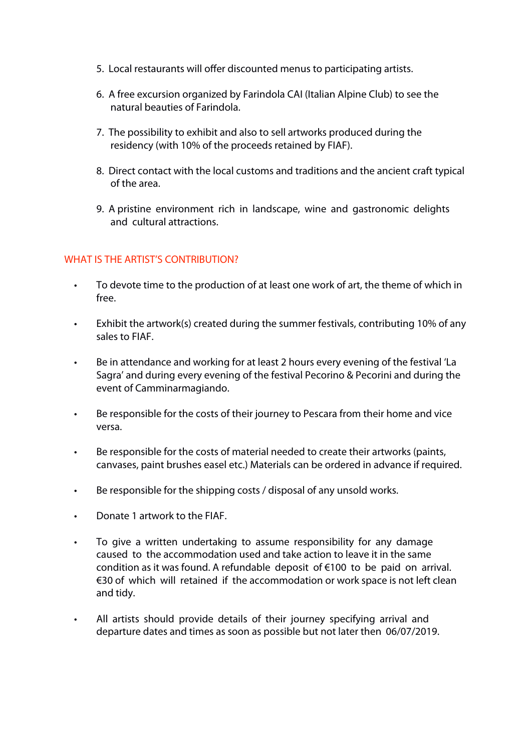- 5. Local restaurants will offer discounted menus to participating artists.
- 6. A free excursion organized by Farindola CAI (Italian Alpine Club) to see the natural beauties of Farindola.
- 7. The possibility to exhibit and also to sell artworks produced during the residency (with 10% of the proceeds retained by FIAF).
- 8. Direct contact with the local customs and traditions and the ancient craft typical of the area.
- 9. A pristine environment rich in landscape, wine and gastronomic delights and cultural attractions.

# WHAT IS THE ARTIST'S CONTRIBUTION?

- To devote time to the production of at least one work of art, the theme of which in free.
- Exhibit the artwork(s) created during the summer festivals, contributing 10% of any sales to FIAF.
- Be in attendance and working for at least 2 hours every evening of the festival 'La Sagra' and during every evening of the festival Pecorino & Pecorini and during the event of Camminarmagiando.
- Be responsible for the costs of their journey to Pescara from their home and vice versa.
- Be responsible for the costs of material needed to create their artworks (paints, canvases, paint brushes easel etc.) Materials can be ordered in advance if required.
- Be responsible for the shipping costs / disposal of any unsold works.
- Donate 1 artwork to the FIAF.
- To give a written undertaking to assume responsibility for any damage caused to the accommodation used and take action to leave it in the same condition as it was found. A refundable deposit of €100 to be paid on arrival. €30 of which will retained if the accommodation or work space is not left clean and tidy.
- All artists should provide details of their journey specifying arrival and departure dates and times as soon as possible but not later then 06/07/2019.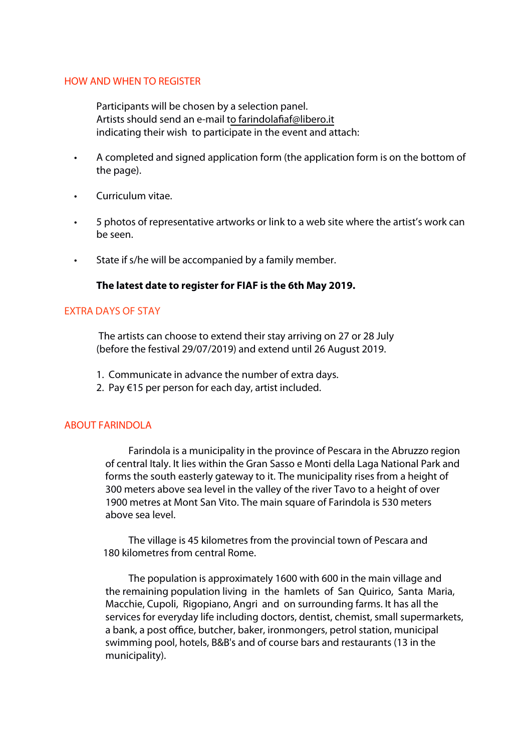#### HOW AND WHEN TO REGISTER

Participants will be chosen by a selection panel. Artists should send an e-mail [to farindolafiaf@libero.it](mailto:farindolafiaf@libero.it?subject=email%20subject)  indicating their wish to participate in the event and attach:

- A completed and signed application form (the application form is on the bottom of the page).
- Curriculum vitae.
- 5 photos of representative artworks or link to a web site where the artist's work can be seen.
- State if s/he will be accompanied by a family member.

#### **The latest date to register for FIAF is the 6th May 2019.**

#### EXTRA DAYS OF STAY

 The artists can choose to extend their stay arriving on 27 or 28 July (before the festival 29/07/2019) and extend until 26 August 2019.

- 1. Communicate in advance the number of extra days.
- 2. Pay €15 per person for each day, artist included.

#### ABOUT FARINDOLA

Farindola is a municipality in the province of Pescara in the Abruzzo region of central Italy. It lies within the Gran Sasso e Monti della Laga National Park and forms the south easterly gateway to it. The municipality rises from a height of 300 meters above sea level in the valley of the river Tavo to a height of over 1900 metres at Mont San Vito. The main square of Farindola is 530 meters above sea level.

The village is 45 kilometres from the provincial town of Pescara and 180 kilometres from central Rome.

The population is approximately 1600 with 600 in the main village and the remaining population living in the hamlets of San Quirico, Santa Maria, Macchie, Cupoli, Rigopiano, Angri and on surrounding farms. It has all the services for everyday life including doctors, dentist, chemist, small supermarkets, a bank, a post office, butcher, baker, ironmongers, petrol station, municipal swimming pool, hotels, B&B's and of course bars and restaurants (13 in the municipality).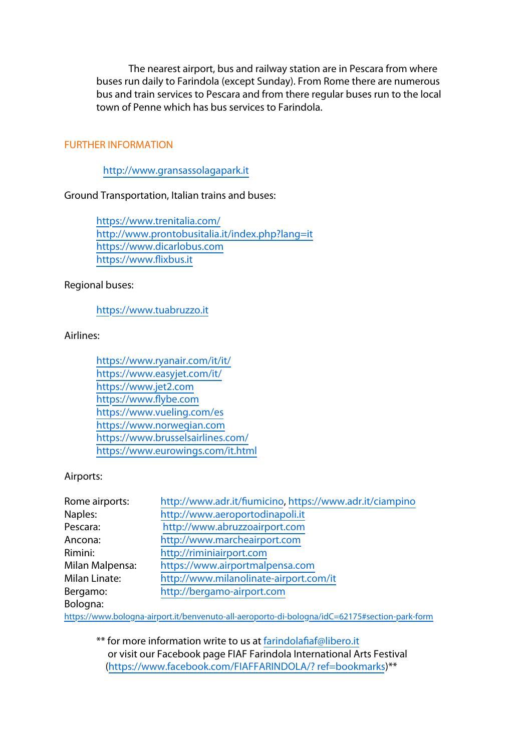The nearest airport, bus and railway station are in Pescara from where buses run daily to Farindola (except Sunday). From Rome there are numerous bus and train services to Pescara and from there regular buses run to the local town of Penne which has bus services to Farindola.

## FURTHER INFORMATION

[http://www.gransassolagapark.it](http://www.gransassolagapark.it/)

#### Ground Transportation, Italian trains and buses:

<https://www.trenitalia.com/> <http://www.prontobusitalia.it/index.php?lang=it> [https://www.dicarlobus.com](https://www.dicarlobus.com/) [https://www.flixbus.it](https://www.flixbus.it/)

#### Regional buses:

#### [https://www.tuabruzzo.it](https://www.tuabruzzo.it/)

#### Airlines:

<https://www.ryanair.com/it/it/> <https://www.easyjet.com/it/> [https://www.jet2.com](https://www.jet2.com/) [https://www.flybe.com](https://www.flybe.com/) <https://www.vueling.com/es> [https://www.norwegian.com](https://www.norwegian.com/) <https://www.brusselsairlines.com/> <https://www.eurowings.com/it.html>

## Airports:

| Rome airports:       | http://www.adr.it/fiumicino, https://www.adr.it/ciampino |
|----------------------|----------------------------------------------------------|
| Naples:              | http://www.aeroportodinapoli.it                          |
| Pescara:             | http://www.abruzzoairport.com                            |
| Ancona:              | http://www.marcheairport.com                             |
| Rimini:              | http://riminiairport.com                                 |
| Milan Malpensa:      | https://www.airportmalpensa.com                          |
| <b>Milan Linate:</b> | http://www.milanolinate-airport.com/it                   |
| Bergamo:             | http://bergamo-airport.com                               |
| Bologna:             |                                                          |

[https://www.bologna-airport.it/benvenuto-all-aeroporto-di-bologna/idC=62175#section-park-form](https://www.bologna-airport.it/benvenuto-all-aeroporto-di-bologna/?idC=62175#section-park-form)

\*\* for more information write to us at [farindolafiaf@libero.it](mailto:farindolafiaf@libero.it?subject=email%20subject)  or visit our Facebook page FIAF Farindola International Arts Festival ([https://www.facebook.com/FIAFFARINDOLA/? ref=bookmarks\)](https://www.facebook.com/FIAFFARINDOLA/?ref=bookmarks)\*\*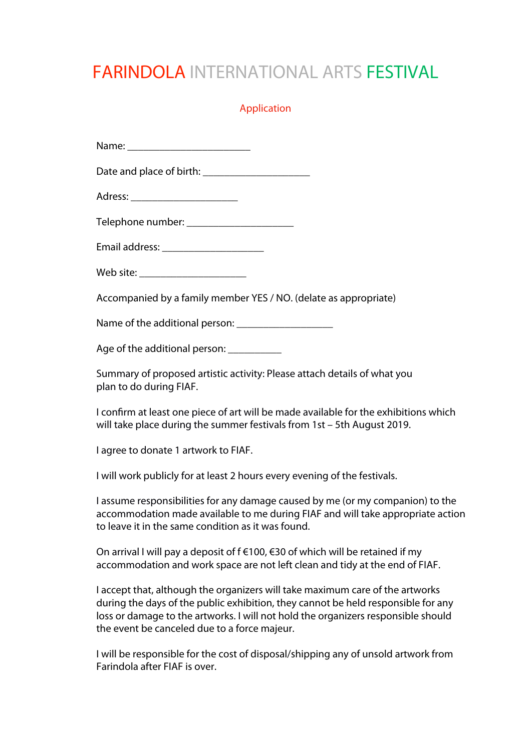# FARINDOLA INTERNATIONAL ARTS FESTIVAL

## Application

Date and place of birth:

Adress:

Telephone number:

Email address:

Web site: \_\_\_\_\_\_\_\_\_\_\_\_\_\_\_\_\_\_\_\_

Accompanied by a family member YES / NO. (delate as appropriate)

Name of the additional person: \_\_\_\_\_\_\_\_\_\_\_\_\_\_\_\_\_\_

Age of the additional person: \_\_\_\_\_\_\_\_\_\_\_

Summary of proposed artistic activity: Please attach details of what you plan to do during FIAF.

I confirm at least one piece of art will be made available for the exhibitions which will take place during the summer festivals from 1st – 5th August 2019.

I agree to donate 1 artwork to FIAF.

I will work publicly for at least 2 hours every evening of the festivals.

I assume responsibilities for any damage caused by me (or my companion) to the accommodation made available to me during FIAF and will take appropriate action to leave it in the same condition as it was found.

On arrival I will pay a deposit of  $f \in 100$ ,  $f \in 30$  of which will be retained if my accommodation and work space are not left clean and tidy at the end of FIAF.

I accept that, although the organizers will take maximum care of the artworks during the days of the public exhibition, they cannot be held responsible for any loss or damage to the artworks. I will not hold the organizers responsible should the event be canceled due to a force majeur.

I will be responsible for the cost of disposal/shipping any of unsold artwork from Farindola after FIAF is over.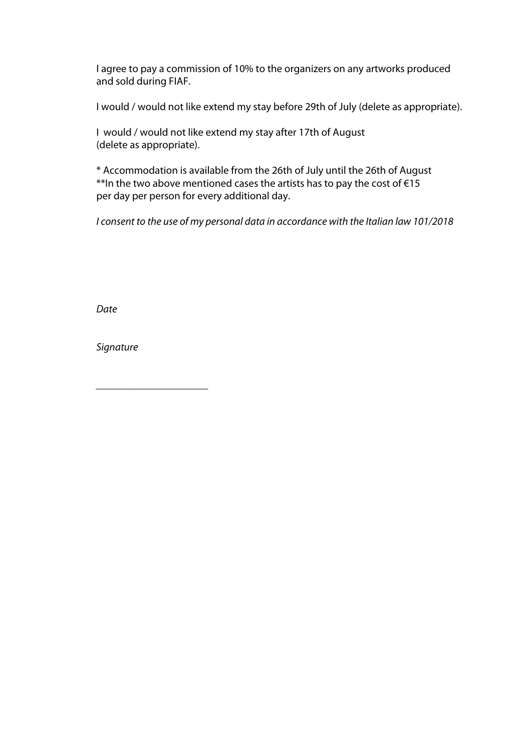I agree to pay a commission of 10% to the organizers on any artworks produced and sold during FIAF.

I would / would not like extend my stay before 29th of July (delete as appropriate).

I would / would not like extend my stay after 17th of August (delete as appropriate).

\* Accommodation is available from the 26th of July until the 26th of August \*\*In the two above mentioned cases the artists has to pay the cost of €15 per day per person for every additional day.

*I consent to the use of my personal data in accordance with the Italian law 101/2018*

*Date* 

*Signature* 

*\_\_\_\_\_\_\_\_\_\_\_\_\_\_\_\_\_\_\_\_\_*